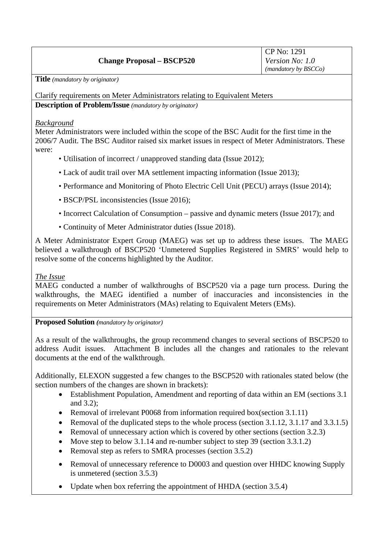# **Change Proposal – BSCP520**

**Title** *(mandatory by originator)* 

Clarify requirements on Meter Administrators relating to Equivalent Meters **Description of Problem/Issue** *(mandatory by originator)* 

### *Background*

Meter Administrators were included within the scope of the BSC Audit for the first time in the 2006/7 Audit. The BSC Auditor raised six market issues in respect of Meter Administrators. These were:

- Utilisation of incorrect / unapproved standing data (Issue 2012);
- Lack of audit trail over MA settlement impacting information (Issue 2013);
- Performance and Monitoring of Photo Electric Cell Unit (PECU) arrays (Issue 2014);
- BSCP/PSL inconsistencies (Issue 2016);
- Incorrect Calculation of Consumption passive and dynamic meters (Issue 2017); and
- Continuity of Meter Administrator duties (Issue 2018).

A Meter Administrator Expert Group (MAEG) was set up to address these issues. The MAEG believed a walkthrough of BSCP520 'Unmetered Supplies Registered in SMRS' would help to resolve some of the concerns highlighted by the Auditor.

## *The Issue*

MAEG conducted a number of walkthroughs of BSCP520 via a page turn process. During the walkthroughs, the MAEG identified a number of inaccuracies and inconsistencies in the requirements on Meter Administrators (MAs) relating to Equivalent Meters (EMs).

**Proposed Solution** *(mandatory by originator)* 

As a result of the walkthroughs, the group recommend changes to several sections of BSCP520 to address Audit issues. Attachment B includes all the changes and rationales to the relevant documents at the end of the walkthrough.

Additionally, ELEXON suggested a few changes to the BSCP520 with rationales stated below (the section numbers of the changes are shown in brackets):

- Establishment Population, Amendment and reporting of data within an EM (sections 3.1) and 3.2);
- Removal of irrelevant P0068 from information required box(section 3.1.11)
- Removal of the duplicated steps to the whole process (section 3.1.12, 3.1.17 and 3.3.1.5)
- Removal of unnecessary action which is covered by other sections (section 3.2.3)
- Move step to below 3.1.14 and re-number subject to step 39 (section 3.3.1.2)
- Removal step as refers to SMRA processes (section 3.5.2)
- Removal of unnecessary reference to D0003 and question over HHDC knowing Supply is unmetered (section 3.5.3)
- Update when box referring the appointment of HHDA (section 3.5.4)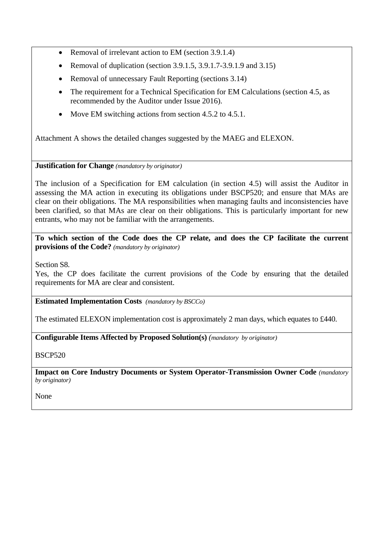- Removal of irrelevant action to EM (section 3.9.1.4)
- Removal of duplication (section 3.9.1.5, 3.9.1.7-3.9.1.9 and 3.15)
- Removal of unnecessary Fault Reporting (sections 3.14)
- The requirement for a Technical Specification for EM Calculations (section 4.5, as recommended by the Auditor under Issue 2016).
- Move EM switching actions from section 4.5.2 to 4.5.1.

Attachment A shows the detailed changes suggested by the MAEG and ELEXON.

### **Justification for Change** *(mandatory by originator)*

The inclusion of a Specification for EM calculation (in section 4.5) will assist the Auditor in assessing the MA action in executing its obligations under BSCP520; and ensure that MAs are clear on their obligations. The MA responsibilities when managing faults and inconsistencies have been clarified, so that MAs are clear on their obligations. This is particularly important for new entrants, who may not be familiar with the arrangements.

**To which section of the Code does the CP relate, and does the CP facilitate the current provisions of the Code?** *(mandatory by originator)* 

Section S8.

Yes, the CP does facilitate the current provisions of the Code by ensuring that the detailed requirements for MA are clear and consistent.

**Estimated Implementation Costs** *(mandatory by BSCCo)* 

The estimated ELEXON implementation cost is approximately 2 man days, which equates to £440.

**Configurable Items Affected by Proposed Solution(s)** *(mandatory by originator)* 

BSCP520

**Impact on Core Industry Documents or System Operator-Transmission Owner Code** *(mandatory by originator)* 

None